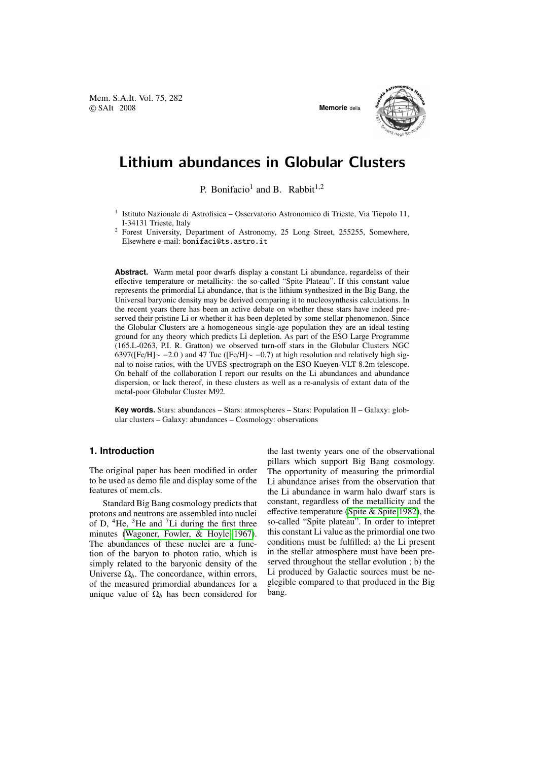Mem. S.A.It. Vol. 75, 282 © SAIt 2008 **Memorie** della



# Lithium abundances in Globular Clusters

P. Bonifacio<sup>1</sup> and B. Rabbit<sup>1,2</sup>

<sup>1</sup> Istituto Nazionale di Astrofisica – Osservatorio Astronomico di Trieste, Via Tiepolo 11, I-34131 Trieste, Italy

<sup>2</sup> Forest University, Department of Astronomy, 25 Long Street, 255255, Somewhere, Elsewhere e-mail: bonifaci@ts.astro.it

**Abstract.** Warm metal poor dwarfs display a constant Li abundance, regardelss of their effective temperature or metallicity: the so-called "Spite Plateau". If this constant value represents the primordial Li abundance, that is the lithium synthesized in the Big Bang, the Universal baryonic density may be derived comparing it to nucleosynthesis calculations. In the recent years there has been an active debate on whether these stars have indeed preserved their pristine Li or whether it has been depleted by some stellar phenomenon. Since the Globular Clusters are a homogeneous single-age population they are an ideal testing ground for any theory which predicts Li depletion. As part of the ESO Large Programme (165.L-0263, P.I. R. Gratton) we observed turn-off stars in the Globular Clusters NGC 6397([Fe/H]∼ −2.0) and 47 Tuc ([Fe/H]∼ −0.7) at high resolution and relatively high signal to noise ratios, with the UVES spectrograph on the ESO Kueyen-VLT 8.2m telescope. On behalf of the collaboration I report our results on the Li abundances and abundance dispersion, or lack thereof, in these clusters as well as a re-analysis of extant data of the metal-poor Globular Cluster M92.

**Key words.** Stars: abundances – Stars: atmospheres – Stars: Population II – Galaxy: globular clusters – Galaxy: abundances – Cosmology: observations

## **1. Introduction**

The original paper has been modified in order to be used as demo file and display some of the features of mem.cls.

Standard Big Bang cosmology predicts that protons and neutrons are assembled into nuclei of D,  ${}^{4}$ He,  ${}^{3}$ He and  ${}^{7}$ Li during the first three minutes [\(Wagoner, Fowler, & Hoyle 1967\)](#page-3-0). The abundances of these nuclei are a function of the baryon to photon ratio, which is simply related to the baryonic density of the Universe  $\Omega_b$ . The concordance, within errors, of the measured primordial abundances for a unique value of  $\Omega_b$  has been considered for the last twenty years one of the observational pillars which support Big Bang cosmology. The opportunity of measuring the primordial Li abundance arises from the observation that the Li abundance in warm halo dwarf stars is constant, regardless of the metallicity and the effective temperature [\(Spite & Spite 1982\)](#page-3-1), the so-called "Spite plateau". In order to intepret this constant Li value as the primordial one two conditions must be fulfilled: a) the Li present in the stellar atmosphere must have been preserved throughout the stellar evolution ; b) the Li produced by Galactic sources must be neglegible compared to that produced in the Big bang.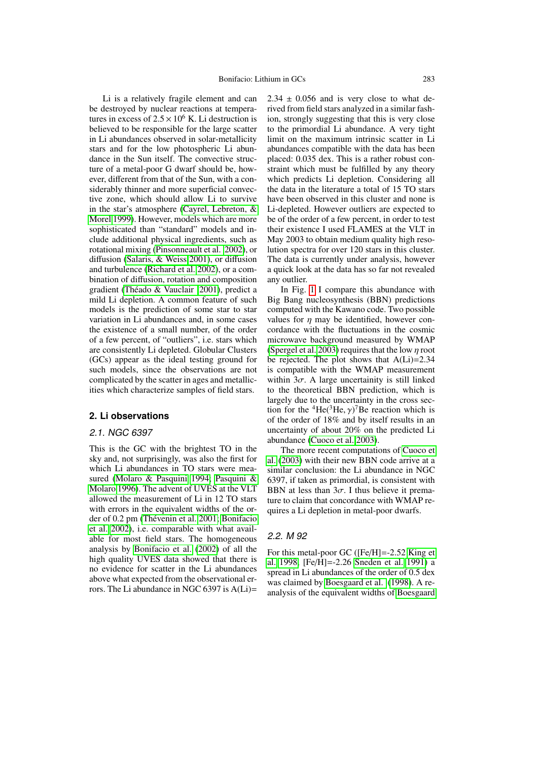Li is a relatively fragile element and can be destroyed by nuclear reactions at temperatures in excess of  $2.5 \times 10^6$  K. Li destruction is believed to be responsible for the large scatter in Li abundances observed in solar-metallicity stars and for the low photospheric Li abundance in the Sun itself. The convective structure of a metal-poor G dwarf should be, however, different from that of the Sun, with a considerably thinner and more superficial convective zone, which should allow Li to survive in the star's atmosphere [\(Cayrel, Lebreton, &](#page-3-2) [Morel 1999\)](#page-3-2). However, models which are more sophisticated than "standard" models and include additional physical ingredients, such as rotational mixing [\(Pinsonneault et al. 2002\)](#page-3-3), or diffusion [\(Salaris, & Weiss 2001\)](#page-3-4), or diffusion and turbulence [\(Richard et al. 2002\)](#page-3-5), or a combination of diffusion, rotation and composition gradient [\(Theado & Vauclair 2001\)](#page-3-6), predict a ´ mild Li depletion. A common feature of such models is the prediction of some star to star variation in Li abundances and, in some cases the existence of a small number, of the order of a few percent, of "outliers", i.e. stars which are consistently Li depleted. Globular Clusters (GCs) appear as the ideal testing ground for such models, since the observations are not complicated by the scatter in ages and metallicities which characterize samples of field stars.

## **2. Li observations**

### 2.1. NGC 6397

This is the GC with the brightest TO in the sky and, not surprisingly, was also the first for which Li abundances in TO stars were measured [\(Molaro & Pasquini 1994;](#page-3-7) [Pasquini &](#page-3-8) [Molaro 1996\)](#page-3-8). The advent of UVES at the VLT allowed the measurement of Li in 12 TO stars with errors in the equivalent widths of the or-der of 0.2 pm (Thévenin et al. 2001; [Bonifacio](#page-3-10) [et al. 2002\)](#page-3-10), i.e. comparable with what available for most field stars. The homogeneous analysis by [Bonifacio et al.](#page-3-10) [\(2002\)](#page-3-10) of all the high quality UVES data showed that there is no evidence for scatter in the Li abundances above what expected from the observational errors. The Li abundance in NGC 6397 is A(Li)=

 $2.34 \pm 0.056$  and is very close to what derived from field stars analyzed in a similar fashion, strongly suggesting that this is very close to the primordial Li abundance. A very tight limit on the maximum intrinsic scatter in Li abundances compatible with the data has been placed: 0.035 dex. This is a rather robust constraint which must be fulfilled by any theory which predicts Li depletion. Considering all the data in the literature a total of 15 TO stars have been observed in this cluster and none is Li-depleted. However outliers are expected to be of the order of a few percent, in order to test their existence I used FLAMES at the VLT in May 2003 to obtain medium quality high resolution spectra for over 120 stars in this cluster. The data is currently under analysis, however a quick look at the data has so far not revealed any outlier.

In Fig. [1](#page-2-0) I compare this abundance with Big Bang nucleosynthesis (BBN) predictions computed with the Kawano code. Two possible values for  $\eta$  may be identified, however concordance with the fluctuations in the cosmic microwave background measured by WMAP [\(Spergel et al. 2003\)](#page-3-11) requires that the low  $\eta$  root be rejected. The plot shows that  $A(Li)=2.34$ is compatible with the WMAP measurement within  $3\sigma$ . A large uncertainity is still linked to the theoretical BBN prediction, which is largely due to the uncertainty in the cross section for the <sup>4</sup>He(<sup>3</sup>He,  $\gamma$ )<sup>7</sup>Be reaction which is of the order of 18% and by itself results in an of the order of 18% and by itself results in an uncertainty of about 20% on the predicted Li abundance [\(Cuoco et al. 2003\)](#page-3-12).

The more recent computations of [Cuoco et](#page-3-12) [al.](#page-3-12) [\(2003\)](#page-3-12) with their new BBN code arrive at a similar conclusion: the Li abundance in NGC 6397, if taken as primordial, is consistent with BBN at less than  $3\sigma$ . I thus believe it premature to claim that concordance with WMAP requires a Li depletion in metal-poor dwarfs.

#### 2.2. M 92

For this metal-poor GC ([Fe/H]=-2.52 [King et](#page-3-13) [al. 1998,](#page-3-13) [Fe/H]=-2.26 [Sneden et al. 1991\)](#page-3-14) a spread in Li abundances of the order of 0.5 dex was claimed by [Boesgaard et al.](#page-3-15) [\(1998\)](#page-3-15). A reanalysis of the equivalent widths of [Boesgaard](#page-3-15)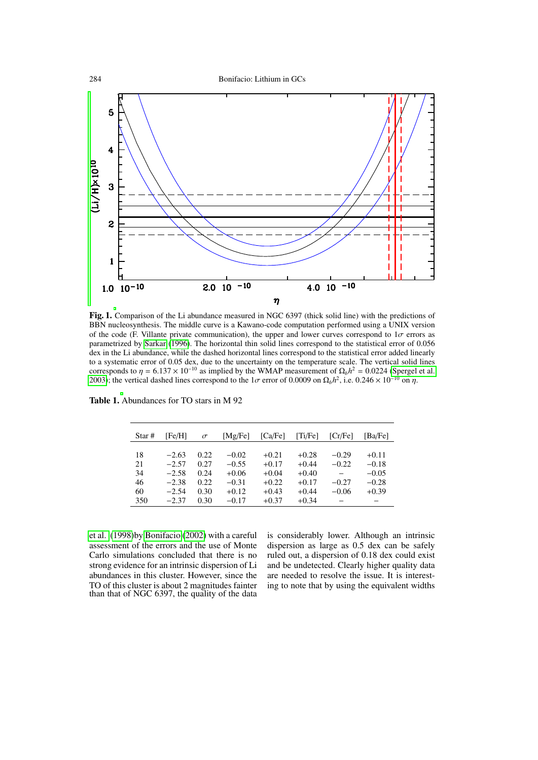

<span id="page-2-0"></span>Fig. 1. Comparison of the Li abundance measured in NGC 6397 (thick solid line) with the predictions of BBN nucleosynthesis. The middle curve is a Kawano-code computation performed using a UNIX version of the code (F. Villante private communication), the upper and lower curves correspond to  $1\sigma$  errors as parametrized by [Sarkar](#page-3-16) [\(1996\)](#page-3-16). The horizontal thin solid lines correspond to the statistical error of 0.056 dex in the Li abundance, while the dashed horizontal lines correspond to the statistical error added linearly to a systematic error of 0.05 dex, due to the uncertainty on the temperature scale. The vertical solid lines corresponds to  $\eta = 6.137 \times 10^{-10}$  as implied by the WMAP measurement of  $\Omega_b h^2 = 0.0224$  [\(Spergel et al.](#page-3-11) 2003): the vertical dashed lines correspond to the 1*c* error of 0.0009 on  $\Omega_b h^2$  i.e. 0.246  $\times 10^{-10}$  on *n* [2003\)](#page-3-11); the vertical dashed lines correspond to the  $1\sigma$  error of 0.0009 on  $\Omega_b h^2$ , i.e. 0.246 × 10<sup>-10</sup> on  $\eta$ .

| Star#    | [Fe/H]             | $\sigma$     | [Mg/Fe]            | [Ca/Fe]            | [Ti/Fe]            | [Cr/Fe]            | [Ba/Fe]            |
|----------|--------------------|--------------|--------------------|--------------------|--------------------|--------------------|--------------------|
|          |                    |              |                    |                    |                    |                    |                    |
| 18<br>21 | $-2.63$<br>$-2.57$ | 0.22<br>0.27 | $-0.02$<br>$-0.55$ | $+0.21$<br>$+0.17$ | $+0.28$<br>$+0.44$ | $-0.29$<br>$-0.22$ | $+0.11$<br>$-0.18$ |
| 34       | $-2.58$            | 0.24         | $+0.06$            | $+0.04$            | $+0.40$            |                    | $-0.05$            |
| 46       | $-2.38$            | 0.22         | $-0.31$            | $+0.22$            | $+0.17$            | $-0.27$            | $-0.28$            |
| 60       | $-2.54$            | 0.30         | $+0.12$            | $+0.43$            | $+0.44$            | $-0.06$            | $+0.39$            |
| 350      | $-2.37$            | 0.30         | $-0.17$            | $+0.37$            | $+0.34$            |                    |                    |
|          |                    |              |                    |                    |                    |                    |                    |

Table 1. Abundances for TO stars in M 92

[et al.](#page-3-15) [\(1998\)](#page-3-15)by [Bonifacio](#page-3-17) [\(2002\)](#page-3-17) with a careful assessment of the errors and the use of Monte Carlo simulations concluded that there is no strong evidence for an intrinsic dispersion of Li abundances in this cluster. However, since the TO of this cluster is about 2 magnitudes fainter than that of NGC 6397, the quality of the data is considerably lower. Although an intrinsic dispersion as large as 0.5 dex can be safely ruled out, a dispersion of 0.18 dex could exist and be undetected. Clearly higher quality data are needed to resolve the issue. It is interesting to note that by using the equivalent widths